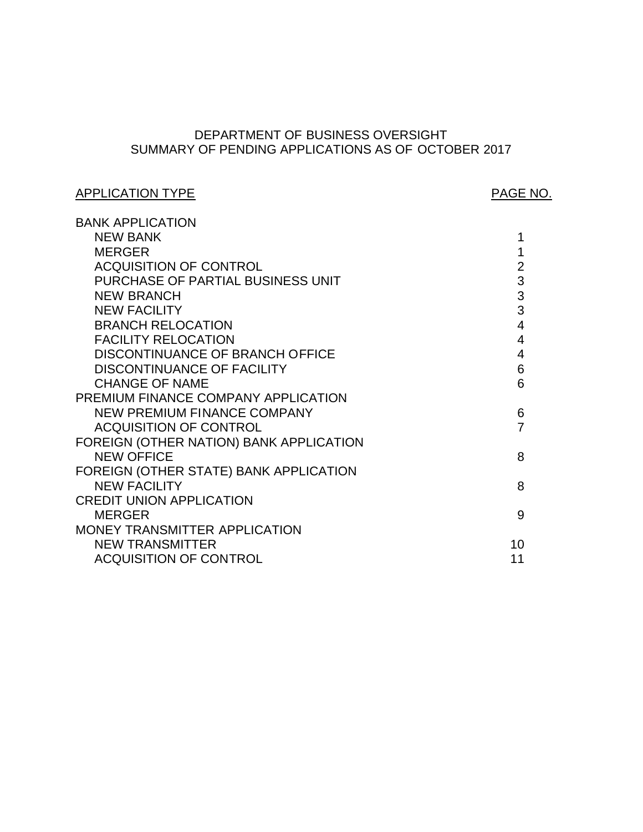# SUMMARY OF PENDING APPLICATIONS AS OF OCTOBER 2017 DEPARTMENT OF BUSINESS OVERSIGHT

# APPLICATION TYPE APPLICATION TYPE

| <b>BANK APPLICATION</b>                 |                |
|-----------------------------------------|----------------|
| <b>NEW BANK</b>                         | 1              |
| <b>MERGER</b>                           | 1              |
| <b>ACQUISITION OF CONTROL</b>           | $\overline{2}$ |
| PURCHASE OF PARTIAL BUSINESS UNIT       | 3              |
| <b>NEW BRANCH</b>                       | 3              |
| <b>NEW FACILITY</b>                     | 3              |
| <b>BRANCH RELOCATION</b>                | 4              |
| <b>FACILITY RELOCATION</b>              | 4              |
| <b>DISCONTINUANCE OF BRANCH OFFICE</b>  | 4              |
| <b>DISCONTINUANCE OF FACILITY</b>       | 6              |
| <b>CHANGE OF NAME</b>                   | 6              |
| PREMIUM FINANCE COMPANY APPLICATION     |                |
| NEW PREMIUM FINANCE COMPANY             | 6              |
| <b>ACQUISITION OF CONTROL</b>           | 7              |
| FOREIGN (OTHER NATION) BANK APPLICATION |                |
| <b>NEW OFFICE</b>                       | 8              |
| FOREIGN (OTHER STATE) BANK APPLICATION  |                |
| <b>NEW FACILITY</b>                     | 8              |
| <b>CREDIT UNION APPLICATION</b>         |                |
| <b>MERGER</b>                           | 9              |
| MONEY TRANSMITTER APPLICATION           |                |
| <b>NEW TRANSMITTER</b>                  | 10             |
| <b>ACQUISITION OF CONTROL</b>           | 11             |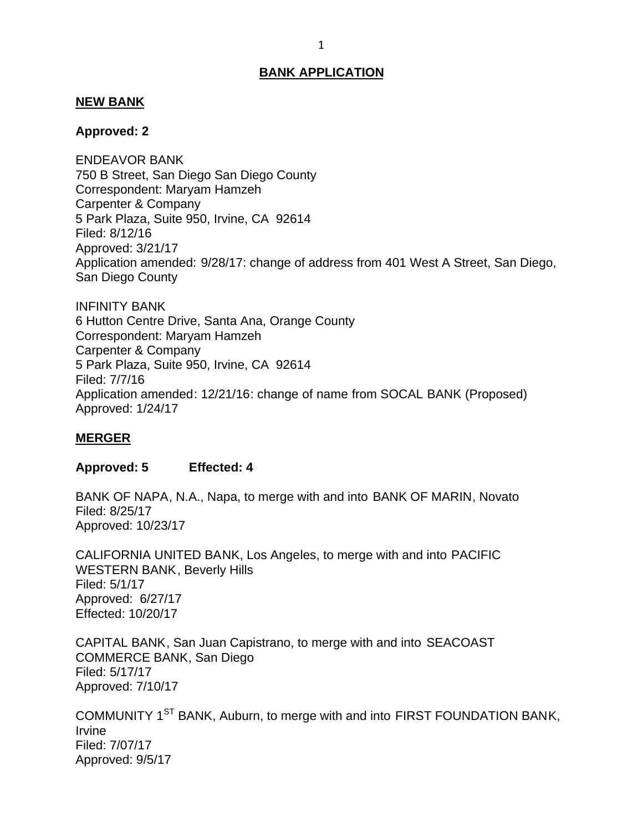#### <span id="page-1-0"></span>**NEW BANK**

#### **Approved: 2**

 750 B Street, San Diego San Diego County Correspondent: Maryam Hamzeh Carpenter & Company 5 Park Plaza, Suite 950, Irvine, CA 92614 Application amended: 9/28/17: change of address from 401 West A Street, San Diego, San Diego County ENDEAVOR BANK Filed: 8/12/16 Approved: 3/21/17

 6 Hutton Centre Drive, Santa Ana, Orange County Correspondent: Maryam Hamzeh Carpenter & Company 5 Park Plaza, Suite 950, Irvine, CA 92614 INFINITY BANK Filed: 7/7/16 Application amended: 12/21/16: change of name from SOCAL BANK (Proposed) Approved: 1/24/17

### **MERGER**

## **Approved: 5 Effected: 4**

 BANK OF NAPA, N.A., Napa, to merge with and into BANK OF MARIN, Novato Filed: 8/25/17 Approved: 10/23/17

 CALIFORNIA UNITED BANK, Los Angeles, to merge with and into PACIFIC WESTERN BANK, Beverly Hills Approved: 6/27/17 Filed: 5/1/17 Effected: 10/20/17

 CAPITAL BANK, San Juan Capistrano, to merge with and into SEACOAST COMMERCE BANK, San Diego Filed: 5/17/17 Approved: 7/10/17

COMMUNITY 1<sup>ST</sup> BANK, Auburn, to merge with and into FIRST FOUNDATION BANK, Irvine Filed: 7/07/17 Approved: 9/5/17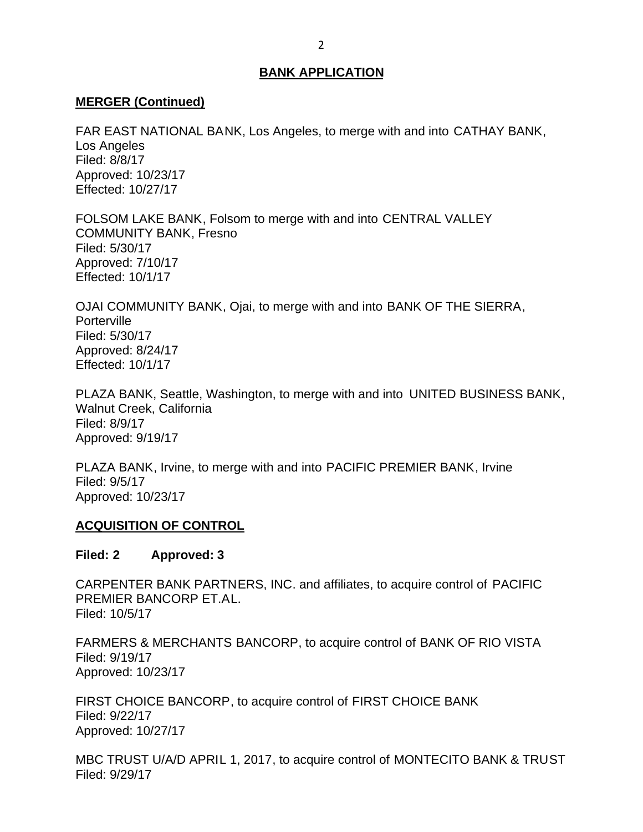### <span id="page-2-0"></span>**MERGER (Continued)**

 FAR EAST NATIONAL BANK, Los Angeles, to merge with and into CATHAY BANK, Los Angeles Filed: 8/8/17 Approved: 10/23/17 Effected: 10/27/17

 FOLSOM LAKE BANK, Folsom to merge with and into CENTRAL VALLEY COMMUNITY BANK, Fresno Filed: 5/30/17 Approved: 7/10/17 Effected: 10/1/17

 OJAI COMMUNITY BANK, Ojai, to merge with and into BANK OF THE SIERRA, **Porterville** Filed: 5/30/17 Approved: 8/24/17 Effected: 10/1/17

 PLAZA BANK, Seattle, Washington, to merge with and into UNITED BUSINESS BANK, Walnut Creek, California Filed: 8/9/17 Approved: 9/19/17

 PLAZA BANK, Irvine, to merge with and into PACIFIC PREMIER BANK, Irvine Filed: 9/5/17 Approved: 10/23/17

### **ACQUISITION OF CONTROL**

#### **Filed: 2 Approved: 3**

 CARPENTER BANK PARTNERS, INC. and affiliates, to acquire control of PACIFIC PREMIER BANCORP ET.AL. Filed: 10/5/17

 FARMERS & MERCHANTS BANCORP, to acquire control of BANK OF RIO VISTA Filed: 9/19/17 Approved: 10/23/17

 FIRST CHOICE BANCORP, to acquire control of FIRST CHOICE BANK Filed: 9/22/17 Approved: 10/27/17

 MBC TRUST U/A/D APRIL 1, 2017, to acquire control of MONTECITO BANK & TRUST Filed: 9/29/17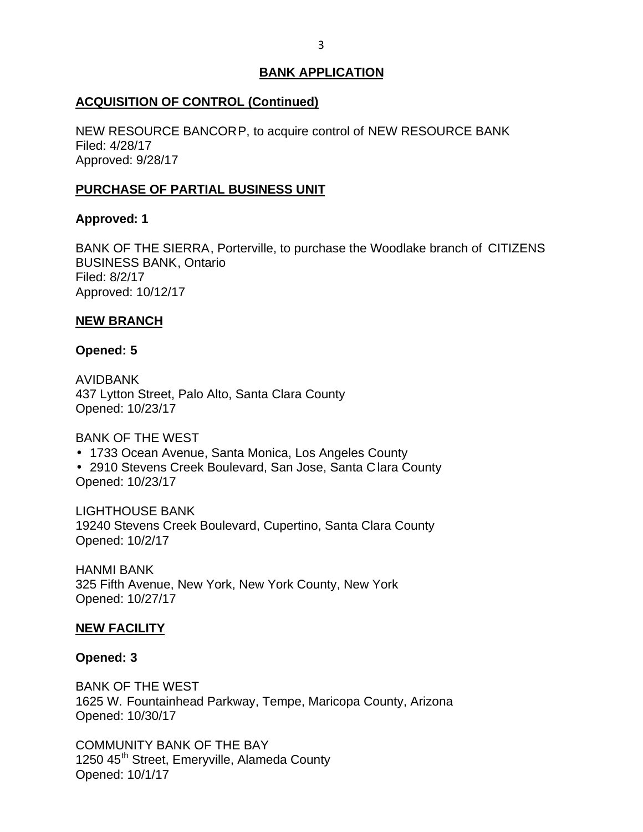## <span id="page-3-0"></span>**ACQUISITION OF CONTROL (Continued)**

 NEW RESOURCE BANCORP, to acquire control of NEW RESOURCE BANK Filed: 4/28/17 Approved: 9/28/17

## **PURCHASE OF PARTIAL BUSINESS UNIT**

## **Approved: 1**

 BANK OF THE SIERRA, Porterville, to purchase the Woodlake branch of CITIZENS BUSINESS BANK, Ontario Filed: 8/2/17 Approved: 10/12/17

## **NEW BRANCH**

### **Opened: 5**

 437 Lytton Street, Palo Alto, Santa Clara County AVIDBANK Opened: 10/23/17

## BANK OF THE WEST

- 1733 Ocean Avenue, Santa Monica, Los Angeles County
- 2910 Stevens Creek Boulevard, San Jose, Santa C lara County Opened: 10/23/17

 19240 Stevens Creek Boulevard, Cupertino, Santa Clara County LIGHTHOUSE BANK Opened: 10/2/17

 325 Fifth Avenue, New York, New York County, New York HANMI BANK Opened: 10/27/17

## **NEW FACILITY**

### **Opened: 3**

 BANK OF THE WEST 1625 W. Fountainhead Parkway, Tempe, Maricopa County, Arizona Opened: 10/30/17

 COMMUNITY BANK OF THE BAY 1250 45<sup>th</sup> Street, Emeryville, Alameda County Opened: 10/1/17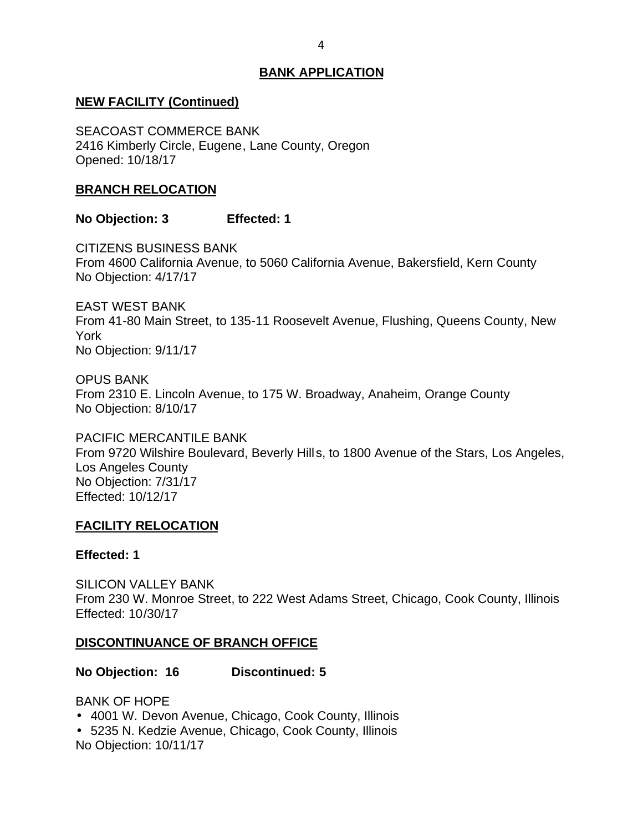# <span id="page-4-0"></span> **NEW FACILITY (Continued)**

 2416 Kimberly Circle, Eugene, Lane County, Oregon SEACOAST COMMERCE BANK Opened: 10/18/17

## **BRANCH RELOCATION**

## **No Objection: 3 Effected: 1**

 From 4600 California Avenue, to 5060 California Avenue, Bakersfield, Kern County No Objection: 4/17/17 CITIZENS BUSINESS BANK

 EAST WEST BANK From 41-80 Main Street, to 135-11 Roosevelt Avenue, Flushing, Queens County, New No Objection: 9/11/17 York

 From 2310 E. Lincoln Avenue, to 175 W. Broadway, Anaheim, Orange County No Objection: 8/10/17 OPUS BANK

 From 9720 Wilshire Boulevard, Beverly Hills, to 1800 Avenue of the Stars, Los Angeles, No Objection: 7/31/17 PACIFIC MERCANTILE BANK Los Angeles County Effected: 10/12/17

## **FACILITY RELOCATION**

### **Effected: 1**

 From 230 W. Monroe Street, to 222 West Adams Street, Chicago, Cook County, Illinois SILICON VALLEY BANK Effected: 10/30/17

## **DISCONTINUANCE OF BRANCH OFFICE**

**No Objection: 16 Discontinued: 5** 

BANK OF HOPE

- 4001 W. Devon Avenue, Chicago, Cook County, Illinois
- 5235 N. Kedzie Avenue, Chicago, Cook County, Illinois

No Objection: 10/11/17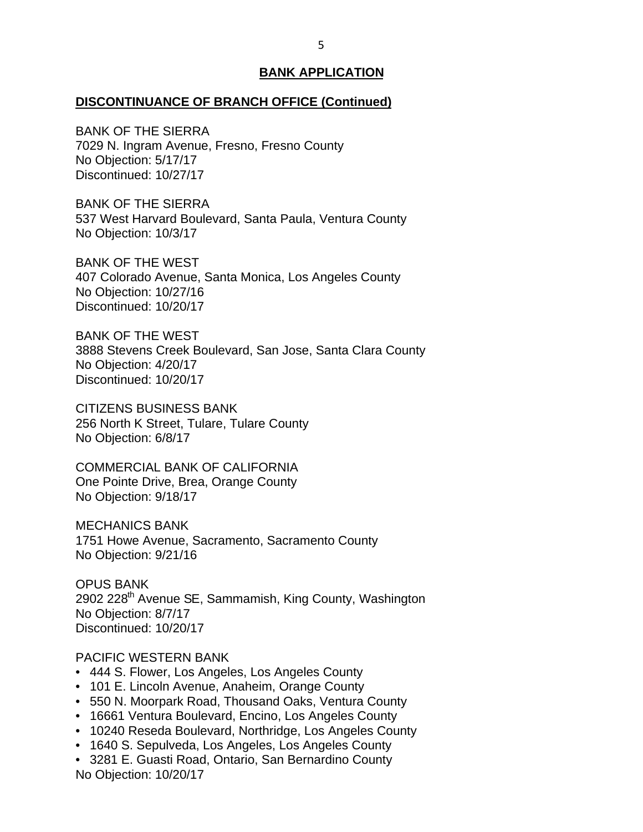#### **DISCONTINUANCE OF BRANCH OFFICE (Continued)**

 BANK OF THE SIERRA 7029 N. Ingram Avenue, Fresno, Fresno County No Objection: 5/17/17 Discontinued: 10/27/17

 BANK OF THE SIERRA 537 West Harvard Boulevard, Santa Paula, Ventura County No Objection: 10/3/17

 BANK OF THE WEST 407 Colorado Avenue, Santa Monica, Los Angeles County No Objection: 10/27/16 Discontinued: 10/20/17

 BANK OF THE WEST 3888 Stevens Creek Boulevard, San Jose, Santa Clara County No Objection: 4/20/17 Discontinued: 10/20/17

 256 North K Street, Tulare, Tulare County No Objection: 6/8/17 CITIZENS BUSINESS BANK

 COMMERCIAL BANK OF CALIFORNIA One Pointe Drive, Brea, Orange County No Objection: 9/18/17

 1751 Howe Avenue, Sacramento, Sacramento County No Objection: 9/21/16 MECHANICS BANK

2902 228<sup>th</sup> Avenue SE, Sammamish, King County, Washington No Objection: 8/7/17 OPUS BANK Discontinued: 10/20/17

#### PACIFIC WESTERN BANK

- 444 S. Flower, Los Angeles, Los Angeles County
- 101 E. Lincoln Avenue, Anaheim, Orange County
- 550 N. Moorpark Road, Thousand Oaks, Ventura County
- 16661 Ventura Boulevard, Encino, Los Angeles County
- 10240 Reseda Boulevard, Northridge, Los Angeles County
- 1640 S. Sepulveda, Los Angeles, Los Angeles County
- • 3281 E. Guasti Road, Ontario, San Bernardino County No Objection: 10/20/17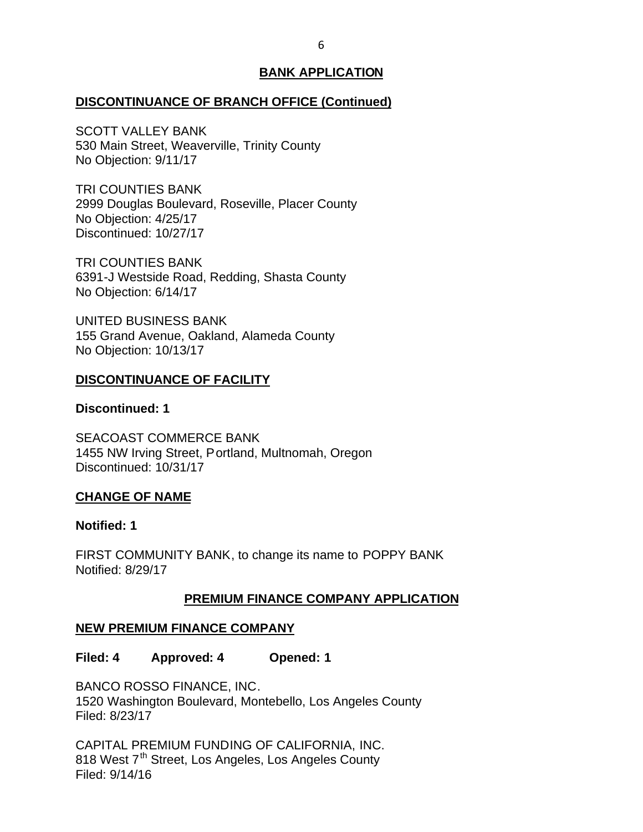### <span id="page-6-0"></span>**DISCONTINUANCE OF BRANCH OFFICE (Continued)**

 530 Main Street, Weaverville, Trinity County No Objection: 9/11/17 SCOTT VALLEY BANK

 2999 Douglas Boulevard, Roseville, Placer County No Objection: 4/25/17 TRI COUNTIES BANK Discontinued: 10/27/17

 6391-J Westside Road, Redding, Shasta County No Objection: 6/14/17 TRI COUNTIES BANK

 155 Grand Avenue, Oakland, Alameda County No Objection: 10/13/17 UNITED BUSINESS BANK

## **DISCONTINUANCE OF FACILITY**

### **Discontinued: 1**

 1455 NW Irving Street, Portland, Multnomah, Oregon SEACOAST COMMERCE BANK Discontinued: 10/31/17

### **CHANGE OF NAME**

### **Notified: 1**

 FIRST COMMUNITY BANK, to change its name to POPPY BANK Notified: 8/29/17

# **PREMIUM FINANCE COMPANY APPLICATION**

# **NEW PREMIUM FINANCE COMPANY**

**Filed: 4 Approved: 4 Opened: 1** 

 BANCO ROSSO FINANCE, INC. 1520 Washington Boulevard, Montebello, Los Angeles County Filed: 8/23/17

 CAPITAL PREMIUM FUNDING OF CALIFORNIA, INC. 818 West 7<sup>th</sup> Street, Los Angeles, Los Angeles County Filed: 9/14/16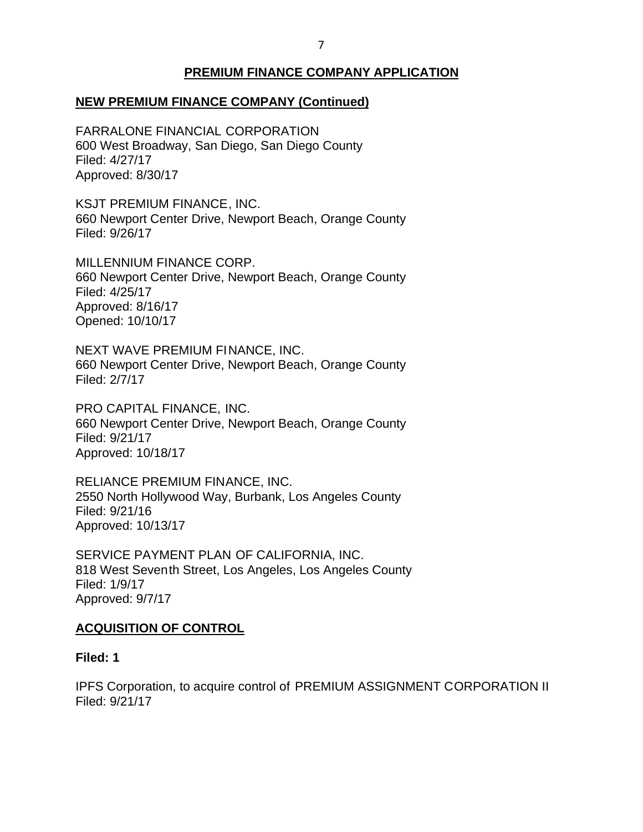# **PREMIUM FINANCE COMPANY APPLICATION**

## <span id="page-7-0"></span> **NEW PREMIUM FINANCE COMPANY (Continued)**

 600 West Broadway, San Diego, San Diego County FARRALONE FINANCIAL CORPORATION Filed: 4/27/17 Approved: 8/30/17

 KSJT PREMIUM FINANCE, INC. 660 Newport Center Drive, Newport Beach, Orange County Filed: 9/26/17

 660 Newport Center Drive, Newport Beach, Orange County MILLENNIUM FINANCE CORP. Filed: 4/25/17 Approved: 8/16/17 Opened: 10/10/17

 NEXT WAVE PREMIUM FINANCE, INC. 660 Newport Center Drive, Newport Beach, Orange County Filed: 2/7/17

 PRO CAPITAL FINANCE, INC. 660 Newport Center Drive, Newport Beach, Orange County Filed: 9/21/17 Approved: 10/18/17

 RELIANCE PREMIUM FINANCE, INC. 2550 North Hollywood Way, Burbank, Los Angeles County Filed: 9/21/16 Approved: 10/13/17

 SERVICE PAYMENT PLAN OF CALIFORNIA, INC. 818 West Seventh Street, Los Angeles, Los Angeles County Filed: 1/9/17 Approved: 9/7/17

## **ACQUISITION OF CONTROL**

### **Filed: 1**

 IPFS Corporation, to acquire control of PREMIUM ASSIGNMENT CORPORATION II Filed: 9/21/17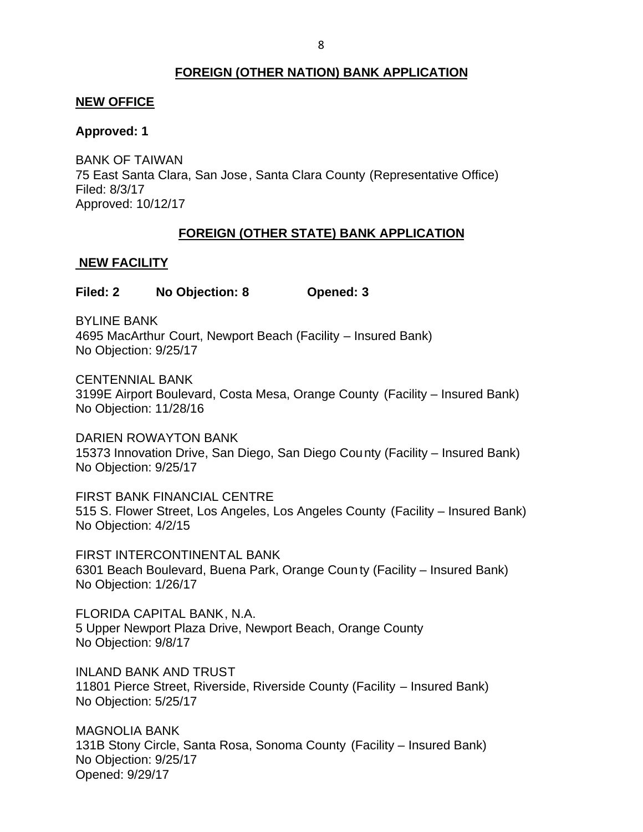## **FOREIGN (OTHER NATION) BANK APPLICATION**

#### <span id="page-8-0"></span>**NEW OFFICE**

### **Approved: 1**

 75 East Santa Clara, San Jose, Santa Clara County (Representative Office) BANK OF TAIWAN Filed: 8/3/17 Approved: 10/12/17

## **FOREIGN (OTHER STATE) BANK APPLICATION**

### **NEW FACILITY**

**Filed: 2 No Objection: 8 Opened: 3** 

 4695 MacArthur Court, Newport Beach (Facility – Insured Bank) BYLINE BANK No Objection: 9/25/17

 3199E Airport Boulevard, Costa Mesa, Orange County (Facility – Insured Bank) No Objection: 11/28/16 CENTENNIAL BANK

 15373 Innovation Drive, San Diego, San Diego County (Facility – Insured Bank) No Objection: 9/25/17 DARIEN ROWAYTON BANK

 FIRST BANK FINANCIAL CENTRE 515 S. Flower Street, Los Angeles, Los Angeles County (Facility – Insured Bank) No Objection: 4/2/15

 6301 Beach Boulevard, Buena Park, Orange Coun ty (Facility – Insured Bank) No Objection: 1/26/17 FIRST INTERCONTINENTAL BANK

 FLORIDA CAPITAL BANK, N.A. 5 Upper Newport Plaza Drive, Newport Beach, Orange County No Objection: 9/8/17

 11801 Pierce Street, Riverside, Riverside County (Facility – Insured Bank) No Objection: 5/25/17 INLAND BANK AND TRUST

 131B Stony Circle, Santa Rosa, Sonoma County (Facility – Insured Bank) No Objection: 9/25/17 MAGNOLIA BANK Opened: 9/29/17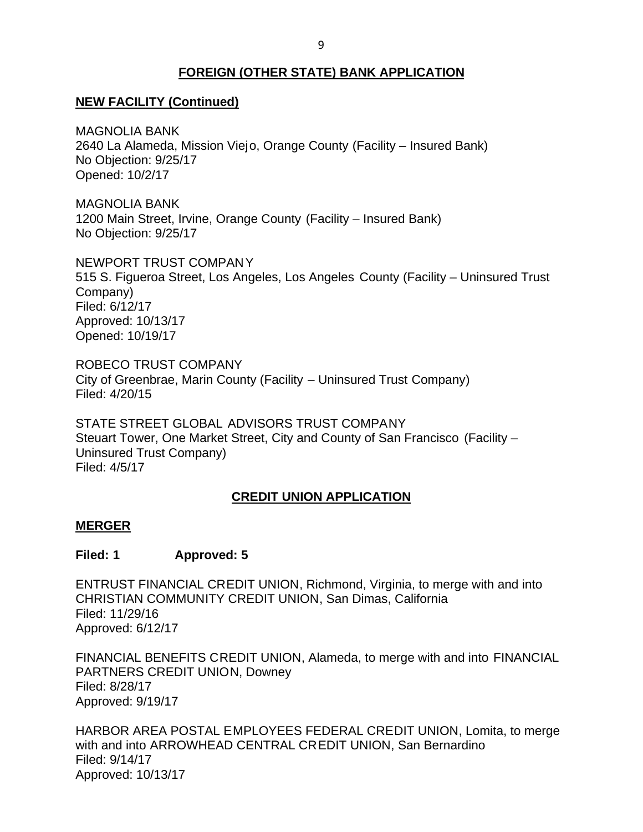## **FOREIGN (OTHER STATE) BANK APPLICATION**

## <span id="page-9-0"></span> **NEW FACILITY (Continued)**

 2640 La Alameda, Mission Viejo, Orange County (Facility – Insured Bank) No Objection: 9/25/17 MAGNOLIA BANK Opened: 10/2/17

 1200 Main Street, Irvine, Orange County (Facility – Insured Bank) No Objection: 9/25/17 MAGNOLIA BANK

 NEWPORT TRUST COMPANY 515 S. Figueroa Street, Los Angeles, Los Angeles County (Facility – Uninsured Trust Company) Filed: 6/12/17 Approved: 10/13/17 Opened: 10/19/17

 ROBECO TRUST COMPANY City of Greenbrae, Marin County (Facility – Uninsured Trust Company) Filed: 4/20/15

 STATE STREET GLOBAL ADVISORS TRUST COMPANY Steuart Tower, One Market Street, City and County of San Francisco (Facility – Uninsured Trust Company) Filed: 4/5/17

### **CREDIT UNION APPLICATION**

#### **MERGER**

### **Filed: 1 Approved: 5**

 ENTRUST FINANCIAL CREDIT UNION, Richmond, Virginia, to merge with and into CHRISTIAN COMMUNITY CREDIT UNION, San Dimas, California Filed: 11/29/16 Approved: 6/12/17

 FINANCIAL BENEFITS CREDIT UNION, Alameda, to merge with and into FINANCIAL PARTNERS CREDIT UNION, Downey Filed: 8/28/17 Approved: 9/19/17

 HARBOR AREA POSTAL EMPLOYEES FEDERAL CREDIT UNION, Lomita, to merge with and into ARROWHEAD CENTRAL CREDIT UNION, San Bernardino Filed: 9/14/17 Approved: 10/13/17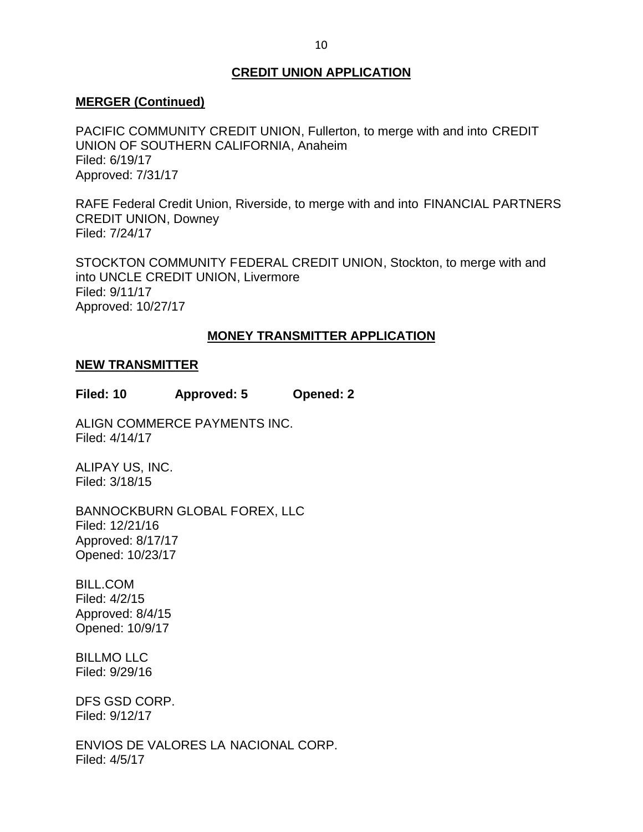## **CREDIT UNION APPLICATION**

#### <span id="page-10-0"></span>**MERGER (Continued)**

 PACIFIC COMMUNITY CREDIT UNION, Fullerton, to merge with and into CREDIT UNION OF SOUTHERN CALIFORNIA, Anaheim Filed: 6/19/17 Approved: 7/31/17

 RAFE Federal Credit Union, Riverside, to merge with and into FINANCIAL PARTNERS CREDIT UNION, Downey Filed: 7/24/17

 STOCKTON COMMUNITY FEDERAL CREDIT UNION, Stockton, to merge with and into UNCLE CREDIT UNION, Livermore Filed: 9/11/17 Approved: 10/27/17

### **MONEY TRANSMITTER APPLICATION**

#### **NEW TRANSMITTER**

**Filed: 10 Approved: 5 Opened: 2** 

ALIGN COMMERCE PAYMENTS INC. Filed: 4/14/17

ALIPAY US, INC. Filed: 3/18/15

BANNOCKBURN GLOBAL FOREX, LLC Filed: 12/21/16 Approved: 8/17/17 Opened: 10/23/17

BILL.COM Filed: 4/2/15 Approved: 8/4/15 Opened: 10/9/17

BILLMO LLC Filed: 9/29/16

DFS GSD CORP. Filed: 9/12/17

 ENVIOS DE VALORES LA NACIONAL CORP. Filed: 4/5/17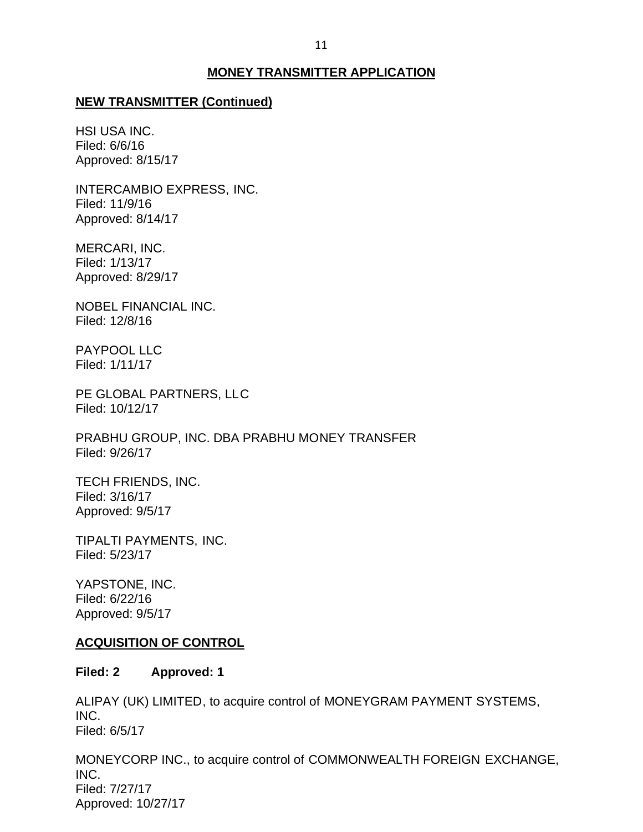### **MONEY TRANSMITTER APPLICATION**

#### <span id="page-11-0"></span>**NEW TRANSMITTER (Continued)**

HSI USA INC. Filed: 6/6/16 Approved: 8/15/17

INTERCAMBIO EXPRESS, INC. Filed: 11/9/16 Approved: 8/14/17

MERCARI, INC. Filed: 1/13/17 Approved: 8/29/17

NOBEL FINANCIAL INC. Filed: 12/8/16

PAYPOOL LLC Filed: 1/11/17

 PE GLOBAL PARTNERS, LLC Filed: 10/12/17

 PRABHU GROUP, INC. DBA PRABHU MONEY TRANSFER Filed: 9/26/17

TECH FRIENDS, INC. Filed: 3/16/17 Approved: 9/5/17

TIPALTI PAYMENTS, INC. Filed: 5/23/17

YAPSTONE, INC. Filed: 6/22/16 Approved: 9/5/17

#### **ACQUISITION OF CONTROL**

#### **Filed: 2 Approved: 1**

 ALIPAY (UK) LIMITED, to acquire control of MONEYGRAM PAYMENT SYSTEMS, INC. Filed: 6/5/17

 MONEYCORP INC., to acquire control of COMMONWEALTH FOREIGN EXCHANGE, INC. Filed: 7/27/17 Approved: 10/27/17